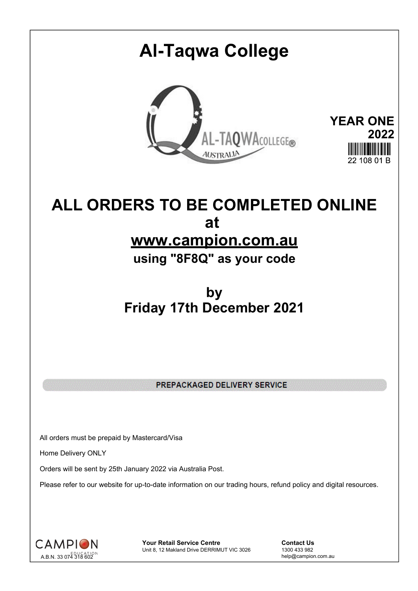# **Al-Taqwa College YEAR ONE** AL-TAQWACOLLEGE® **2022 AUSTRALIA**  $22, 108, 01, R$

# **ALL ORDERS TO BE COMPLETED ONLINE at www.campion.com.au**

**using "8F8Q" as your code**

# **by Friday 17th December 2021**

PREPACKAGED DELIVERY SERVICE

All orders must be prepaid by Mastercard/Visa

Home Delivery ONLY

Orders will be sent by 25th January 2022 via Australia Post.

Please refer to our website for up-to-date information on our trading hours, refund policy and digital resources.



**Your Retail Service Centre Contact Us**<br>
Unit 8, 12 Makland Drive DERRIMUT VIC 3026
1300 433 982 Unit 8, 12 Makland Drive DERRIMUT VIC 3026

help@campion.com.au